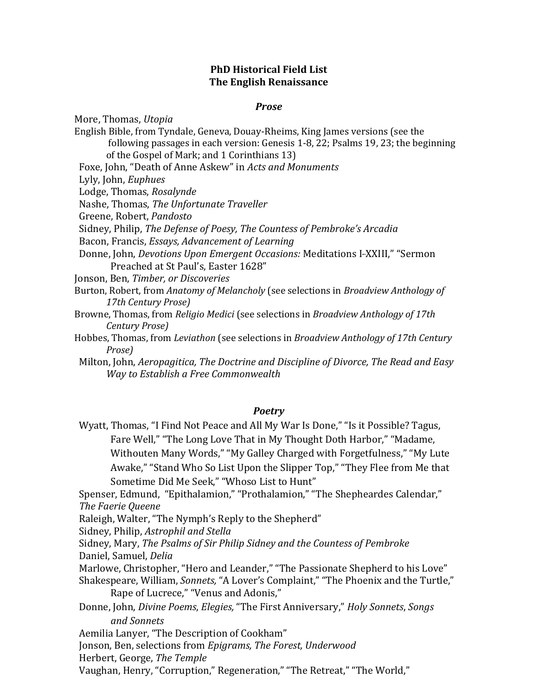## **PhD Historical Field List The English Renaissance**

## *Prose*

More, Thomas, *Utopia*

- English Bible, from Tyndale, Geneva, Douay-Rheims, King James versions (see the following passages in each version: Genesis 1-8, 22; Psalms 19, 23; the beginning of the Gospel of Mark; and 1 Corinthians 13)
- Foxe, John, "Death of Anne Askew" in *Acts and Monuments*

Lyly, John, *Euphues*

Lodge, Thomas, *Rosalynde*

Nashe, Thomas, *The Unfortunate Traveller*

Greene, Robert, *Pandosto*

Sidney, Philip, *The Defense of Poesy, The Countess of Pembroke's Arcadia*

Bacon, Francis, *Essays, Advancement of Learning*

Donne, John, *Devotions Upon Emergent Occasions:* Meditations I-XXIII," "Sermon Preached at St Paul's, Easter 1628"

Jonson, Ben, *Timber, or Discoveries*

- Burton, Robert, from *Anatomy of Melancholy* (see selections in *Broadview Anthology of 17th Century Prose)*
- Browne, Thomas, from *Religio Medici* (see selections in *Broadview Anthology of 17th Century Prose)*
- Hobbes, Thomas, from *Leviathon* (see selections in *Broadview Anthology of 17th Century Prose)*
- Milton, John, *Aeropagitica, The Doctrine and Discipline of Divorce, The Read and Easy Way to Establish a Free Commonwealth*

## *Poetry*

Wyatt, Thomas, "I Find Not Peace and All My War Is Done," "Is it Possible? Tagus, Fare Well," "The Long Love That in My Thought Doth Harbor," "Madame, Withouten Many Words," "My Galley Charged with Forgetfulness," "My Lute Awake," "Stand Who So List Upon the Slipper Top," "They Flee from Me that Sometime Did Me Seek," "Whoso List to Hunt"

Spenser, Edmund, "Epithalamion," "Prothalamion," "The Shepheardes Calendar," *The Faerie Queene*

Raleigh, Walter, "The Nymph's Reply to the Shepherd"

Sidney, Philip, *Astrophil and Stella*

Sidney, Mary, *The Psalms of Sir Philip Sidney and the Countess of Pembroke* Daniel, Samuel, *Delia*

Marlowe, Christopher, "Hero and Leander," "The Passionate Shepherd to his Love" Shakespeare, William, *Sonnets,* "A Lover's Complaint," "The Phoenix and the Turtle,"

Rape of Lucrece," "Venus and Adonis,"

Donne, John, *Divine Poems*, *Elegies,* "The First Anniversary," *Holy Sonnets*, *Songs and Sonnets*

Aemilia Lanyer, "The Description of Cookham"

Jonson, Ben, selections from *Epigrams, The Forest, Underwood*

Herbert, George, *The Temple*

Vaughan, Henry, "Corruption," Regeneration," "The Retreat," "The World,"